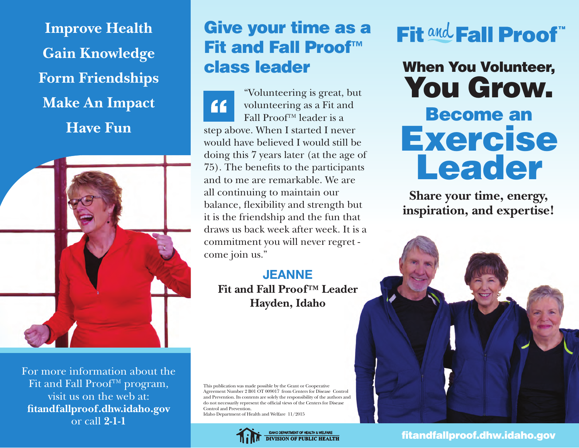**Improve Health Gain Knowledge Form Friendships Make An Impact Have Fun**



For more information about the Fit and Fall Proof™ program, visit us on the web at: **fitandfallproof.dhw.idaho.gov** or call **2-1-1**

### Give your time as a Fit and Fall Proof™ class leader

"Volunteering is great, but volunteering as a Fit and 66 Fall Proof™ leader is a step above. When I started I never would have believed I would still be doing this 7 years later (at the age of 75). The benefits to the participants and to me are remarkable. We are all continuing to maintain our balance, flexibility and strength but it is the friendship and the fun that draws us back week after week. It is a commitment you will never regret come join us."

#### **JEANNE Fit and Fall Proof™ Leader Hayden, Idaho**

This publication was made possible by the Grant or Cooperative Agreement Number 2 B01 OT 009017 from Centers for Disease Control and Prevention. Its contents are solely the responsibility of the authors and do not necessarily represent the official views of the Centers for Disease Control and Prevention. Idaho Department of Health and Welfare 11/2015

> IDAHO DEPARTMENT OF HEALTH & WELFARE **DIVISION OF PUBLIC HEALTH**

# Fit and Fall Proof"

When You Volunteer, You Grow. Become an Exercise Leader

**Share your time, energy, inspiration, and expertise!** 



fitandfallproof.dhw.idaho.gov